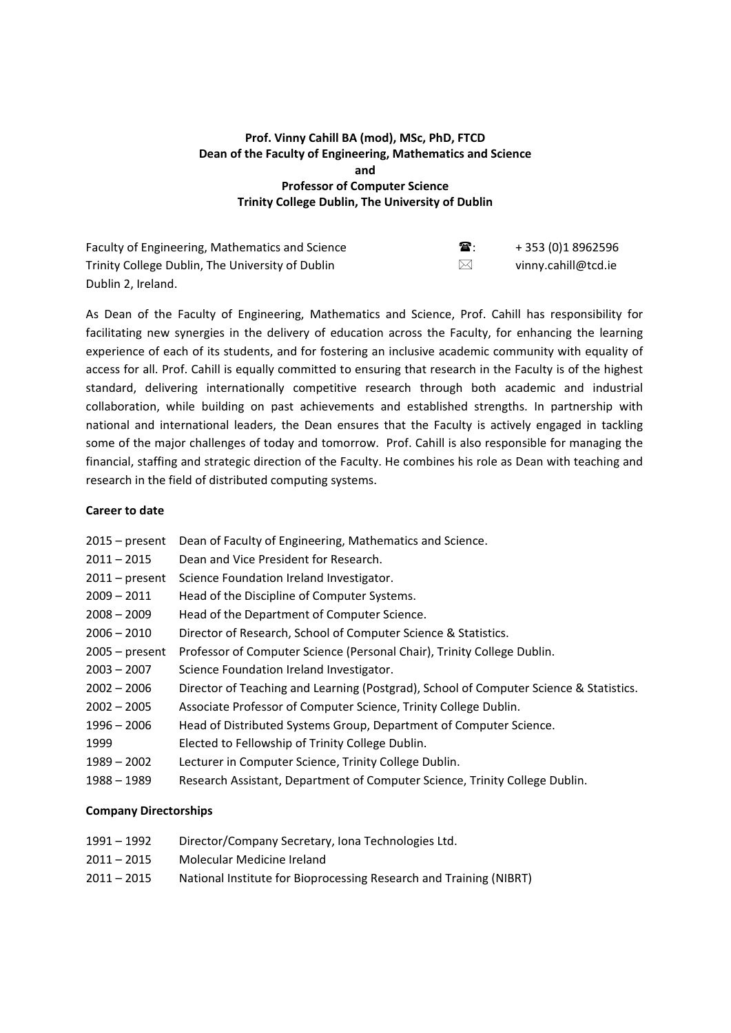# **Prof. Vinny Cahill BA (mod), MSc, PhD, FTCD Dean of the Faculty of Engineering, Mathematics and Science and Professor of Computer Science Trinity College Dublin, The University of Dublin**

| Faculty of Engineering, Mathematics and Science  | $\mathbf{\widehat{a}}$ : | +353 (0)18962596    |
|--------------------------------------------------|--------------------------|---------------------|
| Trinity College Dublin, The University of Dublin | $\bowtie$                | vinny.cahill@tcd.ie |
| Dublin 2. Ireland.                               |                          |                     |

As Dean of the Faculty of Engineering, Mathematics and Science, Prof. Cahill has responsibility for facilitating new synergies in the delivery of education across the Faculty, for enhancing the learning experience of each of its students, and for fostering an inclusive academic community with equality of access for all. Prof. Cahill is equally committed to ensuring that research in the Faculty is of the highest standard, delivering internationally competitive research through both academic and industrial collaboration, while building on past achievements and established strengths. In partnership with national and international leaders, the Dean ensures that the Faculty is actively engaged in tackling some of the major challenges of today and tomorrow. Prof. Cahill is also responsible for managing the financial, staffing and strategic direction of the Faculty. He combines his role as Dean with teaching and research in the field of distributed computing systems.

#### **Career to date**

| $2015$ – present | Dean of Faculty of Engineering, Mathematics and Science.                               |
|------------------|----------------------------------------------------------------------------------------|
| $2011 - 2015$    | Dean and Vice President for Research.                                                  |
| $2011$ – present | Science Foundation Ireland Investigator.                                               |
| $2009 - 2011$    | Head of the Discipline of Computer Systems.                                            |
| $2008 - 2009$    | Head of the Department of Computer Science.                                            |
| $2006 - 2010$    | Director of Research, School of Computer Science & Statistics.                         |
| $2005 - present$ | Professor of Computer Science (Personal Chair), Trinity College Dublin.                |
| $2003 - 2007$    | Science Foundation Ireland Investigator.                                               |
| $2002 - 2006$    | Director of Teaching and Learning (Postgrad), School of Computer Science & Statistics. |
| $2002 - 2005$    | Associate Professor of Computer Science, Trinity College Dublin.                       |
| $1996 - 2006$    | Head of Distributed Systems Group, Department of Computer Science.                     |
| 1999             | Elected to Fellowship of Trinity College Dublin.                                       |
| $1989 - 2002$    | Lecturer in Computer Science, Trinity College Dublin.                                  |
| 1988 – 1989      | Research Assistant, Department of Computer Science, Trinity College Dublin.            |
|                  |                                                                                        |

# **Company Directorships**

- 1991 1992 Director/Company Secretary, Iona Technologies Ltd.
- 2011 2015 Molecular Medicine Ireland
- 2011 2015 National Institute for Bioprocessing Research and Training (NIBRT)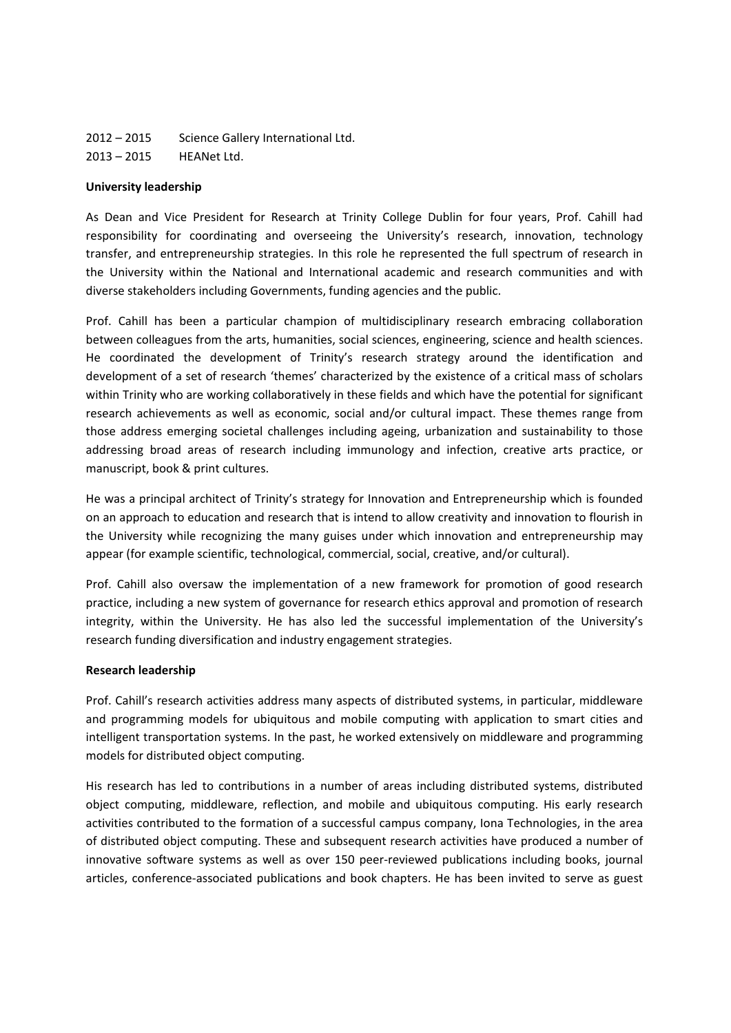2012 – 2015 Science Gallery International Ltd. 2013 – 2015 HEANet Ltd.

#### **University leadership**

As Dean and Vice President for Research at Trinity College Dublin for four years, Prof. Cahill had responsibility for coordinating and overseeing the University's research, innovation, technology transfer, and entrepreneurship strategies. In this role he represented the full spectrum of research in the University within the National and International academic and research communities and with diverse stakeholders including Governments, funding agencies and the public.

Prof. Cahill has been a particular champion of multidisciplinary research embracing collaboration between colleagues from the arts, humanities, social sciences, engineering, science and health sciences. He coordinated the development of Trinity's research strategy around the identification and development of a set of research 'themes' characterized by the existence of a critical mass of scholars within Trinity who are working collaboratively in these fields and which have the potential for significant research achievements as well as economic, social and/or cultural impact. These themes range from those address emerging societal challenges including ageing, urbanization and sustainability to those addressing broad areas of research including immunology and infection, creative arts practice, or manuscript, book & print cultures.

He was a principal architect of Trinity's strategy for Innovation and Entrepreneurship which is founded on an approach to education and research that is intend to allow creativity and innovation to flourish in the University while recognizing the many guises under which innovation and entrepreneurship may appear (for example scientific, technological, commercial, social, creative, and/or cultural).

Prof. Cahill also oversaw the implementation of a new framework for promotion of good research practice, including a new system of governance for research ethics approval and promotion of research integrity, within the University. He has also led the successful implementation of the University's research funding diversification and industry engagement strategies.

# **Research leadership**

Prof. Cahill's research activities address many aspects of distributed systems, in particular, middleware and programming models for ubiquitous and mobile computing with application to smart cities and intelligent transportation systems. In the past, he worked extensively on middleware and programming models for distributed object computing.

His research has led to contributions in a number of areas including distributed systems, distributed object computing, middleware, reflection, and mobile and ubiquitous computing. His early research activities contributed to the formation of a successful campus company, Iona Technologies, in the area of distributed object computing. These and subsequent research activities have produced a number of innovative software systems as well as over 150 peer-reviewed publications including books, journal articles, conference‐associated publications and book chapters. He has been invited to serve as guest